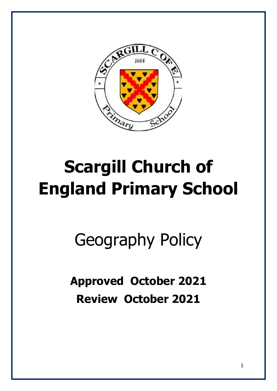

# **Scargill Church of England Primary School**

Geography Policy

**Approved October 2021 Review October 2021**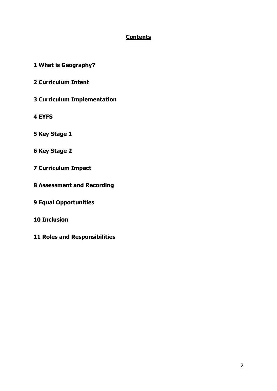#### **Contents**

- **1 What is Geography?**
- **2 Curriculum Intent**
- **3 Curriculum Implementation**
- **4 EYFS**
- **5 Key Stage 1**
- **6 Key Stage 2**
- **7 Curriculum Impact**
- **8 Assessment and Recording**
- **9 Equal Opportunities**
- **10 Inclusion**
- **11 Roles and Responsibilities**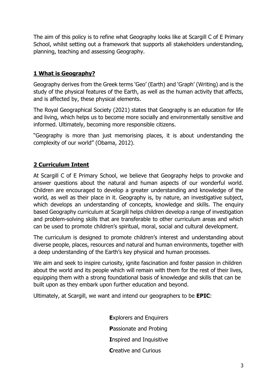The aim of this policy is to refine what Geography looks like at Scargill C of E Primary School, whilst setting out a framework that supports all stakeholders understanding, planning, teaching and assessing Geography.

### **1 What is Geography?**

Geography derives from the Greek terms 'Geo' (Earth) and 'Graph' (Writing) and is the study of the physical features of the Earth, as well as the human activity that affects, and is affected by, these physical elements.

The Royal Geographical Society (2021) states that Geography is an education for life and living, which helps us to become more socially and environmentally sensitive and informed. Ultimately, becoming more responsible citizens.

"Geography is more than just memorising places, it is about understanding the complexity of our world" (Obama, 2012).

# **2 Curriculum Intent**

At Scargill C of E Primary School, we believe that Geography helps to provoke and answer questions about the natural and human aspects of our wonderful world. Children are encouraged to develop a greater understanding and knowledge of the world, as well as their place in it. Geography is, by nature, an investigative subject, which develops an understanding of concepts, knowledge and skills. The enquiry based Geography curriculum at Scargill helps children develop a range of investigation and problem-solving skills that are transferable to other curriculum areas and which can be used to promote children's spiritual, moral, social and cultural development.

The curriculum is designed to promote children's interest and understanding about diverse people, places, resources and natural and human environments, together with a deep understanding of the Earth's key physical and human processes.

We aim and seek to inspire curiosity, ignite fascination and foster passion in children about the world and its people which will remain with them for the rest of their lives, equipping them with a strong foundational basis of knowledge and skills that can be built upon as they embark upon further education and beyond.

Ultimately, at Scargill, we want and intend our geographers to be **EPIC**:

**E**xplorers and Enquirers **P**assionate and Probing **I**nspired and Inquisitive **C**reative and Curious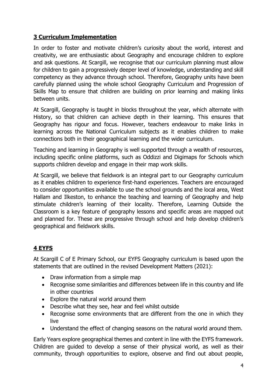## **3 Curriculum Implementation**

In order to foster and motivate children's curiosity about the world, interest and creativity, we are enthusiastic about Geography and encourage children to explore and ask questions. At Scargill, we recognise that our curriculum planning must allow for children to gain a progressively deeper level of knowledge, understanding and skill competency as they advance through school. Therefore, Geography units have been carefully planned using the whole school Geography Curriculum and Progression of Skills Map to ensure that children are building on prior learning and making links between units.

At Scargill, Geography is taught in blocks throughout the year, which alternate with History, so that children can achieve depth in their learning. This ensures that Geography has rigour and focus. However, teachers endeavour to make links in learning across the National Curriculum subjects as it enables children to make connections both in their geographical learning and the wider curriculum.

Teaching and learning in Geography is well supported through a wealth of resources, including specific online platforms, such as Oddizzi and Digimaps for Schools which supports children develop and engage in their map work skills.

At Scargill, we believe that fieldwork is an integral part to our Geography curriculum as it enables children to experience first-hand experiences. Teachers are encouraged to consider opportunities available to use the school grounds and the local area, West Hallam and Ilkeston, to enhance the teaching and learning of Geography and help stimulate children's learning of their locality. Therefore, Learning Outside the Classroom is a key feature of geography lessons and specific areas are mapped out and planned for. These are progressive through school and help develop children's geographical and fieldwork skills.

## **4 EYFS**

At Scargill C of E Primary School, our EYFS Geography curriculum is based upon the statements that are outlined in the revised Development Matters (2021):

- Draw information from a simple map
- Recognise some similarities and differences between life in this country and life in other countries
- Explore the natural world around them
- Describe what they see, hear and feel whilst outside
- Recognise some environments that are different from the one in which they live
- Understand the effect of changing seasons on the natural world around them.

Early Years explore geographical themes and content in line with the EYFS framework. Children are guided to develop a sense of their physical world, as well as their community, through opportunities to explore, observe and find out about people,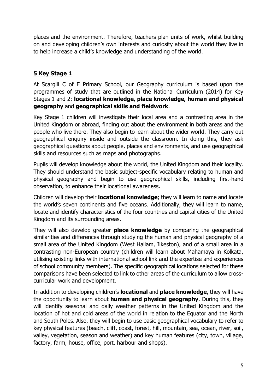places and the environment. Therefore, teachers plan units of work, whilst building on and developing children's own interests and curiosity about the world they live in to help increase a child's knowledge and understanding of the world.

# **5 Key Stage 1**

At Scargill C of E Primary School, our Geography curriculum is based upon the programmes of study that are outlined in the National Curriculum (2014) for Key Stages 1 and 2: **locational knowledge, place knowledge, human and physical geography** and **geographical skills and fieldwork**.

Key Stage 1 children will investigate their local area and a contrasting area in the United Kingdom or abroad, finding out about the environment in both areas and the people who live there. They also begin to learn about the wider world. They carry out geographical enquiry inside and outside the classroom. In doing this, they ask geographical questions about people, places and environments, and use geographical skills and resources such as maps and photographs.

Pupils will develop knowledge about the world, the United Kingdom and their locality. They should understand the basic subject-specific vocabulary relating to human and physical geography and begin to use geographical skills, including first-hand observation, to enhance their locational awareness.

Children will develop their **locational knowledge**; they will learn to name and locate the world's seven continents and five oceans. Additionally, they will learn to name, locate and identify characteristics of the four countries and capital cities of the United Kingdom and its surrounding areas.

They will also develop greater **place knowledge** by comparing the geographical similarities and differences through studying the human and physical geography of a small area of the United Kingdom (West Hallam, Ilkeston), and of a small area in a contrasting non-European country (children will learn about Mahamaya in Kolkata, utilising existing links with international school link and the expertise and experiences of school community members). The specific geographical locations selected for these comparisons have been selected to link to other areas of the curriculum to allow crosscurricular work and development.

In addition to developing children's **locational** and **place knowledge**, they will have the opportunity to learn about **human and physical geography**. During this, they will identify seasonal and daily weather patterns in the United Kingdom and the location of hot and cold areas of the world in relation to the Equator and the North and South Poles. Also, they will begin to use basic geographical vocabulary to refer to key physical features (beach, cliff, coast, forest, hill, mountain, sea, ocean, river, soil, valley, vegetation, season and weather) and key human features (city, town, village, factory, farm, house, office, port, harbour and shops).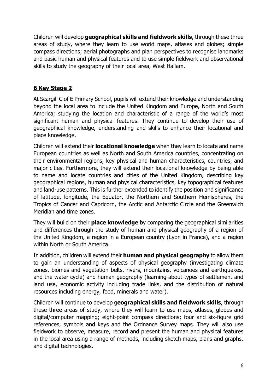Children will develop **geographical skills and fieldwork skills**, through these three areas of study, where they learn to use world maps, atlases and globes; simple compass directions; aerial photographs and plan perspectives to recognise landmarks and basic human and physical features and to use simple fieldwork and observational skills to study the geography of their local area, West Hallam.

#### **6 Key Stage 2**

At Scargill C of E Primary School, pupils will extend their knowledge and understanding beyond the local area to include the United Kingdom and Europe, North and South America; studying the location and characteristic of a range of the world's most significant human and physical features. They continue to develop their use of geographical knowledge, understanding and skills to enhance their locational and place knowledge.

Children will extend their **locational knowledge** when they learn to locate and name European countries as well as North and South America countries, concentrating on their environmental regions, key physical and human characteristics, countries, and major cities. Furthermore, they will extend their locational knowledge by being able to name and locate countries and cities of the United Kingdom, describing key geographical regions, human and physical characteristics, key topographical features and land-use patterns. This is further extended to identify the position and significance of latitude, longitude, the Equator, the Northern and Southern Hemispheres, the Tropics of Cancer and Capricorn, the Arctic and Antarctic Circle and the Greenwich Meridian and time zones.

They will build on their **place knowledge** by comparing the geographical similarities and differences through the study of human and physical geography of a region of the United Kingdom, a region in a European country (Lyon in France), and a region within North or South America.

In addition, children will extend their **human and physical geography** to allow them to gain an understanding of aspects of physical geography (investigating climate zones, biomes and vegetation belts, rivers, mountains, volcanoes and earthquakes, and the water cycle) and human geography (learning about types of settlement and land use, economic activity including trade links, and the distribution of natural resources including energy, food, minerals and water).

Children will continue to develop g**eographical skills and fieldwork skills**, through these three areas of study, where they will learn to use maps, atlases, globes and digital/computer mapping; eight-point compass directions; four and six-figure grid references, symbols and keys and the Ordnance Survey maps. They will also use fieldwork to observe, measure, record and present the human and physical features in the local area using a range of methods, including sketch maps, plans and graphs, and digital technologies.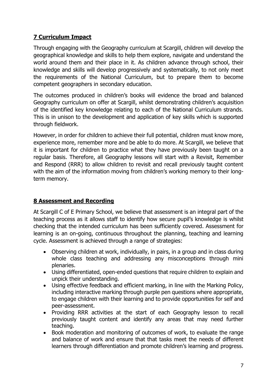# **7 Curriculum Impact**

Through engaging with the Geography curriculum at Scargill, children will develop the geographical knowledge and skills to help them explore, navigate and understand the world around them and their place in it. As children advance through school, their knowledge and skills will develop progressively and systematically, to not only meet the requirements of the National Curriculum, but to prepare them to become competent geographers in secondary education.

The outcomes produced in children's books will evidence the broad and balanced Geography curriculum on offer at Scargill, whilst demonstrating children's acquisition of the identified key knowledge relating to each of the National Curriculum strands. This is in unison to the development and application of key skills which is supported through fieldwork.

However, in order for children to achieve their full potential, children must know more, experience more, remember more and be able to do more. At Scargill, we believe that it is important for children to practice what they have previously been taught on a regular basis. Therefore, all Geography lessons will start with a Revisit, Remember and Respond (RRR) to allow children to revisit and recall previously taught content with the aim of the information moving from children's working memory to their longterm memory.

## **8 Assessment and Recording**

At Scargill C of E Primary School, we believe that assessment is an integral part of the teaching process as it allows staff to identify how secure pupil's knowledge is whilst checking that the intended curriculum has been sufficiently covered. Assessment for learning is an on-going, continuous throughout the planning, teaching and learning cycle. Assessment is achieved through a range of strategies:

- Observing children at work, individually, in pairs, in a group and in class during whole class teaching and addressing any misconceptions through mini plenaries.
- Using differentiated, open-ended questions that require children to explain and unpick their understanding.
- Using effective feedback and efficient marking, in line with the Marking Policy, including interactive marking through purple pen questions where appropriate, to engage children with their learning and to provide opportunities for self and peer-assessment.
- Providing RRR activities at the start of each Geography lesson to recall previously taught content and identify any areas that may need further teaching.
- Book moderation and monitoring of outcomes of work, to evaluate the range and balance of work and ensure that that tasks meet the needs of different learners through differentiation and promote children's learning and progress.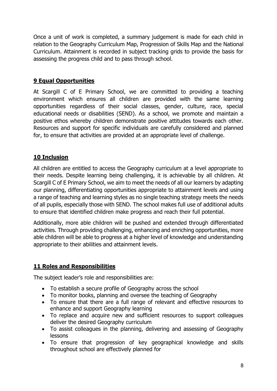Once a unit of work is completed, a summary judgement is made for each child in relation to the Geography Curriculum Map, Progression of Skills Map and the National Curriculum. Attainment is recorded in subject tracking grids to provide the basis for assessing the progress child and to pass through school.

## **9 Equal Opportunities**

At Scargill C of E Primary School, we are committed to providing a teaching environment which ensures all children are provided with the same learning opportunities regardless of their social classes, gender, culture, race, special educational needs or disabilities (SEND). As a school, we promote and maintain a positive ethos whereby children demonstrate positive attitudes towards each other. Resources and support for specific individuals are carefully considered and planned for, to ensure that activities are provided at an appropriate level of challenge.

### **10 Inclusion**

All children are entitled to access the Geography curriculum at a level appropriate to their needs. Despite learning being challenging, it is achievable by all children. At Scargill C of E Primary School, we aim to meet the needs of all our learners by adapting our planning, differentiating opportunities appropriate to attainment levels and using a range of teaching and learning styles as no single teaching strategy meets the needs of all pupils, especially those with SEND. The school makes full use of additional adults to ensure that identified children make progress and reach their full potential.

Additionally, more able children will be pushed and extended through differentiated activities. Through providing challenging, enhancing and enriching opportunities, more able children will be able to progress at a higher level of knowledge and understanding appropriate to their abilities and attainment levels.

#### **11 Roles and Responsibilities**

The subject leader's role and responsibilities are:

- To establish a secure profile of Geography across the school
- To monitor books, planning and oversee the teaching of Geography
- To ensure that there are a full range of relevant and effective resources to enhance and support Geography learning
- To replace and acquire new and sufficient resources to support colleagues deliver the desired Geography curriculum
- To assist colleagues in the planning, delivering and assessing of Geography lessons
- To ensure that progression of key geographical knowledge and skills throughout school are effectively planned for